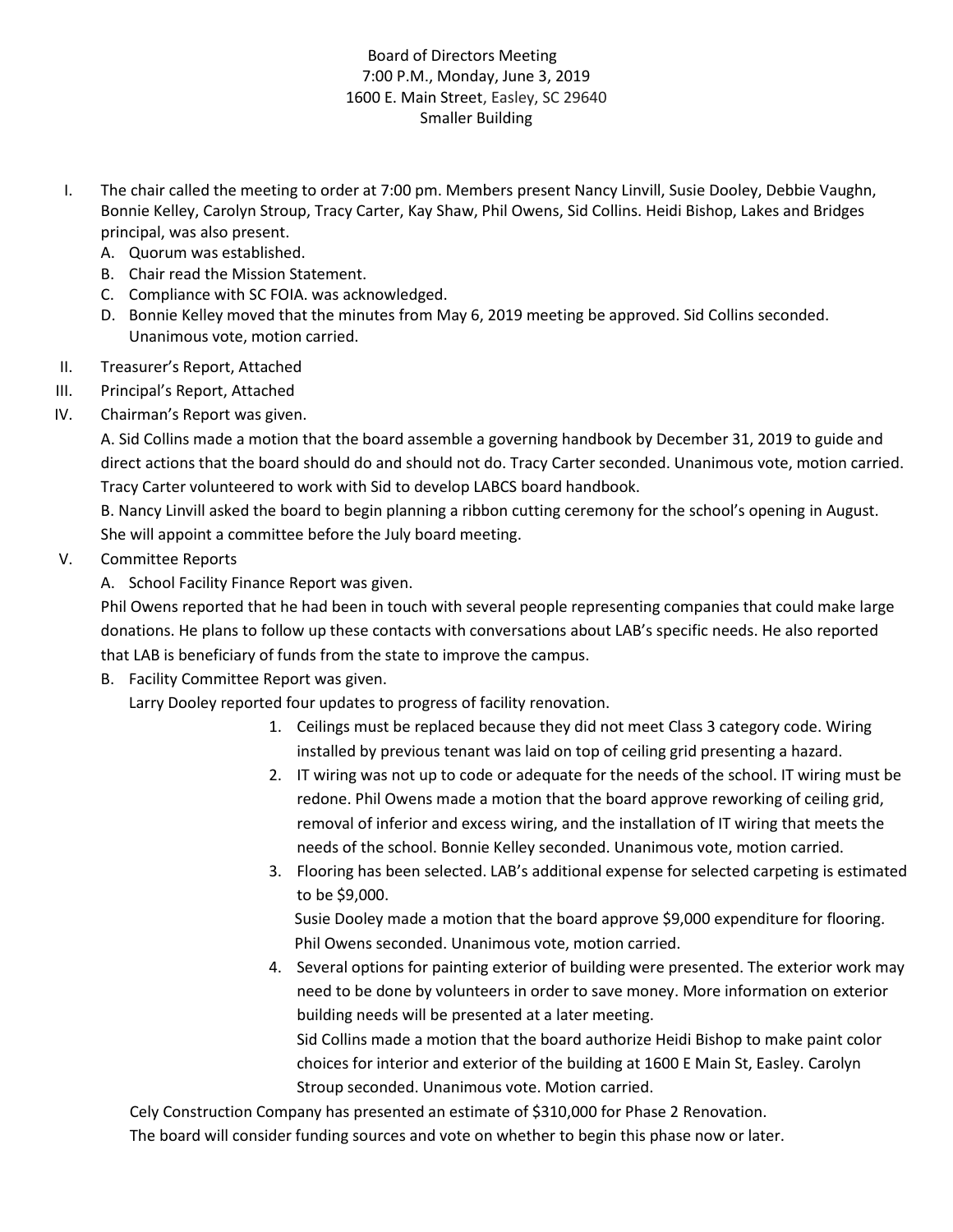## Board of Directors Meeting 7:00 P.M., Monday, June 3, 2019 1600 E. Main Street, Easley, SC 29640 Smaller Building

- I. The chair called the meeting to order at 7:00 pm. Members present Nancy Linvill, Susie Dooley, Debbie Vaughn, Bonnie Kelley, Carolyn Stroup, Tracy Carter, Kay Shaw, Phil Owens, Sid Collins. Heidi Bishop, Lakes and Bridges principal, was also present.
	- A. Quorum was established.
	- B. Chair read the Mission Statement.
	- C. Compliance with SC FOIA. was acknowledged.
	- D. Bonnie Kelley moved that the minutes from May 6, 2019 meeting be approved. Sid Collins seconded. Unanimous vote, motion carried.
- II. Treasurer's Report, Attached
- III. Principal's Report, Attached
- IV. Chairman's Report was given.

A. Sid Collins made a motion that the board assemble a governing handbook by December 31, 2019 to guide and direct actions that the board should do and should not do. Tracy Carter seconded. Unanimous vote, motion carried. Tracy Carter volunteered to work with Sid to develop LABCS board handbook.

B. Nancy Linvill asked the board to begin planning a ribbon cutting ceremony for the school's opening in August. She will appoint a committee before the July board meeting.

## V. Committee Reports

A. School Facility Finance Report was given.

Phil Owens reported that he had been in touch with several people representing companies that could make large donations. He plans to follow up these contacts with conversations about LAB's specific needs. He also reported that LAB is beneficiary of funds from the state to improve the campus.

B. Facility Committee Report was given.

Larry Dooley reported four updates to progress of facility renovation.

- 1. Ceilings must be replaced because they did not meet Class 3 category code. Wiring installed by previous tenant was laid on top of ceiling grid presenting a hazard.
- 2. IT wiring was not up to code or adequate for the needs of the school. IT wiring must be redone. Phil Owens made a motion that the board approve reworking of ceiling grid, removal of inferior and excess wiring, and the installation of IT wiring that meets the needs of the school. Bonnie Kelley seconded. Unanimous vote, motion carried.
- 3. Flooring has been selected. LAB's additional expense for selected carpeting is estimated to be \$9,000.

Susie Dooley made a motion that the board approve \$9,000 expenditure for flooring. Phil Owens seconded. Unanimous vote, motion carried.

4. Several options for painting exterior of building were presented. The exterior work may need to be done by volunteers in order to save money. More information on exterior building needs will be presented at a later meeting.

Sid Collins made a motion that the board authorize Heidi Bishop to make paint color choices for interior and exterior of the building at 1600 E Main St, Easley. Carolyn Stroup seconded. Unanimous vote. Motion carried.

Cely Construction Company has presented an estimate of \$310,000 for Phase 2 Renovation. The board will consider funding sources and vote on whether to begin this phase now or later.